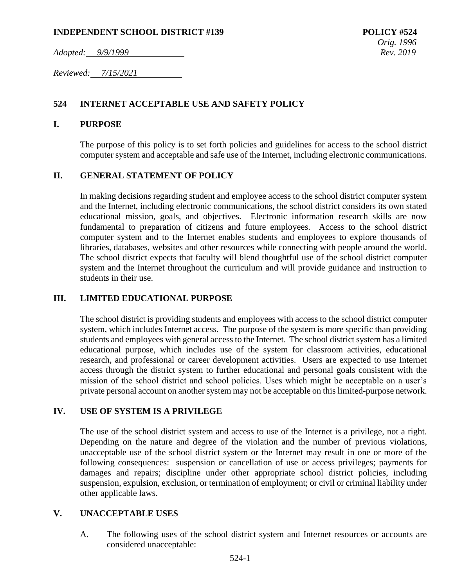### **INDEPENDENT SCHOOL DISTRICT #139 POLICY #524**

*Adopted: 9/9/1999 Rev. 2019*

*Reviewed: 7/15/2021* 

### **524 INTERNET ACCEPTABLE USE AND SAFETY POLICY**

### **I. PURPOSE**

The purpose of this policy is to set forth policies and guidelines for access to the school district computer system and acceptable and safe use of the Internet, including electronic communications.

### **II. GENERAL STATEMENT OF POLICY**

In making decisions regarding student and employee access to the school district computer system and the Internet, including electronic communications, the school district considers its own stated educational mission, goals, and objectives. Electronic information research skills are now fundamental to preparation of citizens and future employees. Access to the school district computer system and to the Internet enables students and employees to explore thousands of libraries, databases, websites and other resources while connecting with people around the world. The school district expects that faculty will blend thoughtful use of the school district computer system and the Internet throughout the curriculum and will provide guidance and instruction to students in their use.

### **III. LIMITED EDUCATIONAL PURPOSE**

The school district is providing students and employees with access to the school district computer system, which includes Internet access. The purpose of the system is more specific than providing students and employees with general access to the Internet. The school district system has a limited educational purpose, which includes use of the system for classroom activities, educational research, and professional or career development activities. Users are expected to use Internet access through the district system to further educational and personal goals consistent with the mission of the school district and school policies. Uses which might be acceptable on a user's private personal account on another system may not be acceptable on this limited-purpose network.

### **IV. USE OF SYSTEM IS A PRIVILEGE**

The use of the school district system and access to use of the Internet is a privilege, not a right. Depending on the nature and degree of the violation and the number of previous violations, unacceptable use of the school district system or the Internet may result in one or more of the following consequences: suspension or cancellation of use or access privileges; payments for damages and repairs; discipline under other appropriate school district policies, including suspension, expulsion, exclusion, or termination of employment; or civil or criminal liability under other applicable laws.

### **V. UNACCEPTABLE USES**

A. The following uses of the school district system and Internet resources or accounts are considered unacceptable: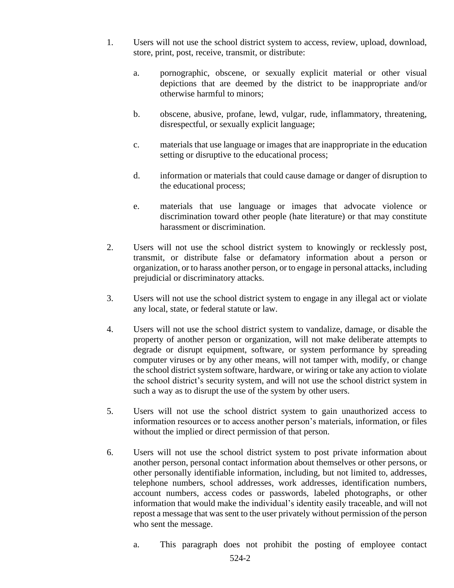- 1. Users will not use the school district system to access, review, upload, download, store, print, post, receive, transmit, or distribute:
	- a. pornographic, obscene, or sexually explicit material or other visual depictions that are deemed by the district to be inappropriate and/or otherwise harmful to minors;
	- b. obscene, abusive, profane, lewd, vulgar, rude, inflammatory, threatening, disrespectful, or sexually explicit language;
	- c. materials that use language or images that are inappropriate in the education setting or disruptive to the educational process;
	- d. information or materials that could cause damage or danger of disruption to the educational process;
	- e. materials that use language or images that advocate violence or discrimination toward other people (hate literature) or that may constitute harassment or discrimination.
- 2. Users will not use the school district system to knowingly or recklessly post, transmit, or distribute false or defamatory information about a person or organization, or to harass another person, or to engage in personal attacks, including prejudicial or discriminatory attacks.
- 3. Users will not use the school district system to engage in any illegal act or violate any local, state, or federal statute or law.
- 4. Users will not use the school district system to vandalize, damage, or disable the property of another person or organization, will not make deliberate attempts to degrade or disrupt equipment, software, or system performance by spreading computer viruses or by any other means, will not tamper with, modify, or change the school district system software, hardware, or wiring or take any action to violate the school district's security system, and will not use the school district system in such a way as to disrupt the use of the system by other users.
- 5. Users will not use the school district system to gain unauthorized access to information resources or to access another person's materials, information, or files without the implied or direct permission of that person.
- 6. Users will not use the school district system to post private information about another person, personal contact information about themselves or other persons, or other personally identifiable information, including, but not limited to, addresses, telephone numbers, school addresses, work addresses, identification numbers, account numbers, access codes or passwords, labeled photographs, or other information that would make the individual's identity easily traceable, and will not repost a message that was sent to the user privately without permission of the person who sent the message.
	- a. This paragraph does not prohibit the posting of employee contact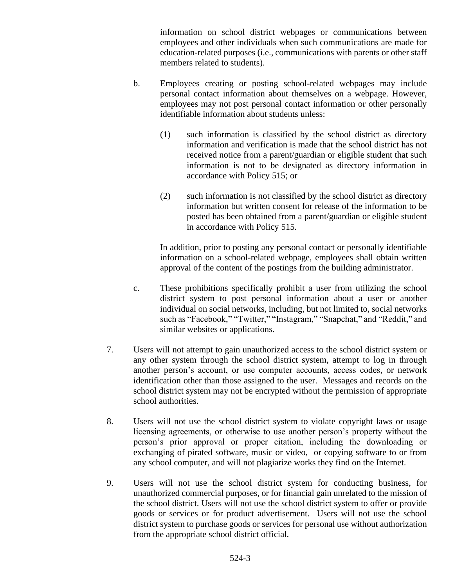information on school district webpages or communications between employees and other individuals when such communications are made for education-related purposes (i.e., communications with parents or other staff members related to students).

- b. Employees creating or posting school-related webpages may include personal contact information about themselves on a webpage. However, employees may not post personal contact information or other personally identifiable information about students unless:
	- (1) such information is classified by the school district as directory information and verification is made that the school district has not received notice from a parent/guardian or eligible student that such information is not to be designated as directory information in accordance with Policy 515; or
	- (2) such information is not classified by the school district as directory information but written consent for release of the information to be posted has been obtained from a parent/guardian or eligible student in accordance with Policy 515.

In addition, prior to posting any personal contact or personally identifiable information on a school-related webpage, employees shall obtain written approval of the content of the postings from the building administrator.

- c. These prohibitions specifically prohibit a user from utilizing the school district system to post personal information about a user or another individual on social networks, including, but not limited to, social networks such as "Facebook," "Twitter," "Instagram," "Snapchat," and "Reddit," and similar websites or applications.
- 7. Users will not attempt to gain unauthorized access to the school district system or any other system through the school district system, attempt to log in through another person's account, or use computer accounts, access codes, or network identification other than those assigned to the user. Messages and records on the school district system may not be encrypted without the permission of appropriate school authorities.
- 8. Users will not use the school district system to violate copyright laws or usage licensing agreements, or otherwise to use another person's property without the person's prior approval or proper citation, including the downloading or exchanging of pirated software, music or video, or copying software to or from any school computer, and will not plagiarize works they find on the Internet.
- 9. Users will not use the school district system for conducting business, for unauthorized commercial purposes, or for financial gain unrelated to the mission of the school district. Users will not use the school district system to offer or provide goods or services or for product advertisement. Users will not use the school district system to purchase goods or services for personal use without authorization from the appropriate school district official.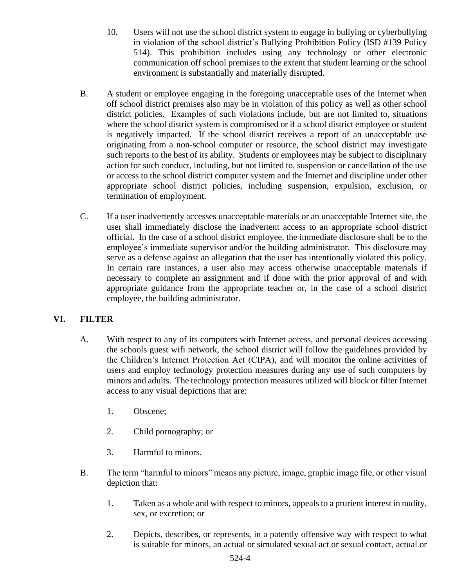- 10. Users will not use the school district system to engage in bullying or cyberbullying in violation of the school district's Bullying Prohibition Policy (ISD #139 Policy 514). This prohibition includes using any technology or other electronic communication off school premises to the extent that student learning or the school environment is substantially and materially disrupted.
- B. A student or employee engaging in the foregoing unacceptable uses of the Internet when off school district premises also may be in violation of this policy as well as other school district policies. Examples of such violations include, but are not limited to, situations where the school district system is compromised or if a school district employee or student is negatively impacted. If the school district receives a report of an unacceptable use originating from a non-school computer or resource, the school district may investigate such reports to the best of its ability. Students or employees may be subject to disciplinary action for such conduct, including, but not limited to, suspension or cancellation of the use or access to the school district computer system and the Internet and discipline under other appropriate school district policies, including suspension, expulsion, exclusion, or termination of employment.
- C. If a user inadvertently accesses unacceptable materials or an unacceptable Internet site, the user shall immediately disclose the inadvertent access to an appropriate school district official. In the case of a school district employee, the immediate disclosure shall be to the employee's immediate supervisor and/or the building administrator. This disclosure may serve as a defense against an allegation that the user has intentionally violated this policy. In certain rare instances, a user also may access otherwise unacceptable materials if necessary to complete an assignment and if done with the prior approval of and with appropriate guidance from the appropriate teacher or, in the case of a school district employee, the building administrator.

## **VI. FILTER**

- A. With respect to any of its computers with Internet access, and personal devices accessing the schools guest wifi network, the school district will follow the guidelines provided by the Children's Internet Protection Act (CIPA), and will monitor the online activities of users and employ technology protection measures during any use of such computers by minors and adults. The technology protection measures utilized will block or filter Internet access to any visual depictions that are:
	- 1. Obscene;
	- 2. Child pornography; or
	- 3. Harmful to minors.
- B. The term "harmful to minors" means any picture, image, graphic image file, or other visual depiction that:
	- 1. Taken as a whole and with respect to minors, appeals to a prurient interest in nudity, sex, or excretion; or
	- 2. Depicts, describes, or represents, in a patently offensive way with respect to what is suitable for minors, an actual or simulated sexual act or sexual contact, actual or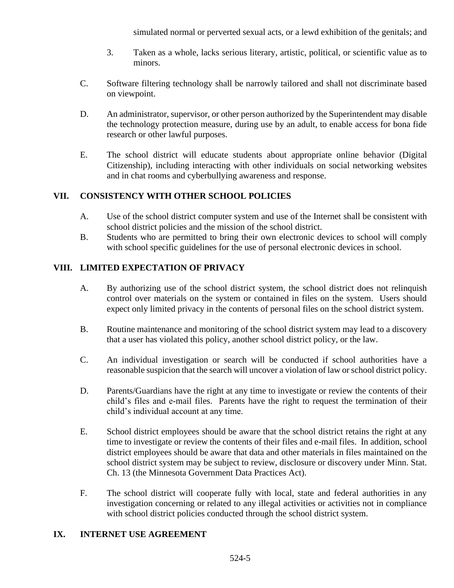simulated normal or perverted sexual acts, or a lewd exhibition of the genitals; and

- 3. Taken as a whole, lacks serious literary, artistic, political, or scientific value as to minors.
- C. Software filtering technology shall be narrowly tailored and shall not discriminate based on viewpoint.
- D. An administrator, supervisor, or other person authorized by the Superintendent may disable the technology protection measure, during use by an adult, to enable access for bona fide research or other lawful purposes.
- E. The school district will educate students about appropriate online behavior (Digital Citizenship), including interacting with other individuals on social networking websites and in chat rooms and cyberbullying awareness and response.

### **VII. CONSISTENCY WITH OTHER SCHOOL POLICIES**

- A. Use of the school district computer system and use of the Internet shall be consistent with school district policies and the mission of the school district.
- B. Students who are permitted to bring their own electronic devices to school will comply with school specific guidelines for the use of personal electronic devices in school.

## **VIII. LIMITED EXPECTATION OF PRIVACY**

- A. By authorizing use of the school district system, the school district does not relinquish control over materials on the system or contained in files on the system. Users should expect only limited privacy in the contents of personal files on the school district system.
- B. Routine maintenance and monitoring of the school district system may lead to a discovery that a user has violated this policy, another school district policy, or the law.
- C. An individual investigation or search will be conducted if school authorities have a reasonable suspicion that the search will uncover a violation of law or school district policy.
- D. Parents/Guardians have the right at any time to investigate or review the contents of their child's files and e-mail files. Parents have the right to request the termination of their child's individual account at any time.
- E. School district employees should be aware that the school district retains the right at any time to investigate or review the contents of their files and e-mail files. In addition, school district employees should be aware that data and other materials in files maintained on the school district system may be subject to review, disclosure or discovery under Minn. Stat. Ch. 13 (the Minnesota Government Data Practices Act).
- F. The school district will cooperate fully with local, state and federal authorities in any investigation concerning or related to any illegal activities or activities not in compliance with school district policies conducted through the school district system.

### **IX. INTERNET USE AGREEMENT**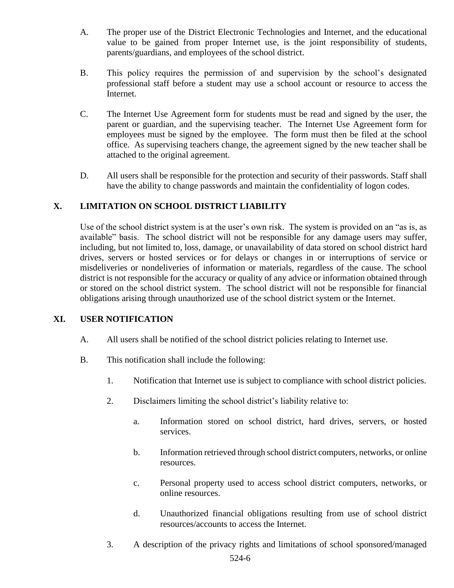- A. The proper use of the District Electronic Technologies and Internet, and the educational value to be gained from proper Internet use, is the joint responsibility of students, parents/guardians, and employees of the school district.
- B. This policy requires the permission of and supervision by the school's designated professional staff before a student may use a school account or resource to access the Internet.
- C. The Internet Use Agreement form for students must be read and signed by the user, the parent or guardian, and the supervising teacher. The Internet Use Agreement form for employees must be signed by the employee. The form must then be filed at the school office. As supervising teachers change, the agreement signed by the new teacher shall be attached to the original agreement.
- D. All users shall be responsible for the protection and security of their passwords. Staff shall have the ability to change passwords and maintain the confidentiality of logon codes.

## **X. LIMITATION ON SCHOOL DISTRICT LIABILITY**

Use of the school district system is at the user's own risk. The system is provided on an "as is, as available" basis. The school district will not be responsible for any damage users may suffer, including, but not limited to, loss, damage, or unavailability of data stored on school district hard drives, servers or hosted services or for delays or changes in or interruptions of service or misdeliveries or nondeliveries of information or materials, regardless of the cause. The school district is not responsible for the accuracy or quality of any advice or information obtained through or stored on the school district system. The school district will not be responsible for financial obligations arising through unauthorized use of the school district system or the Internet.

## **XI. USER NOTIFICATION**

- A. All users shall be notified of the school district policies relating to Internet use.
- B. This notification shall include the following:
	- 1. Notification that Internet use is subject to compliance with school district policies.
	- 2. Disclaimers limiting the school district's liability relative to:
		- a. Information stored on school district, hard drives, servers, or hosted services.
		- b. Information retrieved through school district computers, networks, or online resources.
		- c. Personal property used to access school district computers, networks, or online resources.
		- d. Unauthorized financial obligations resulting from use of school district resources/accounts to access the Internet.
	- 3. A description of the privacy rights and limitations of school sponsored/managed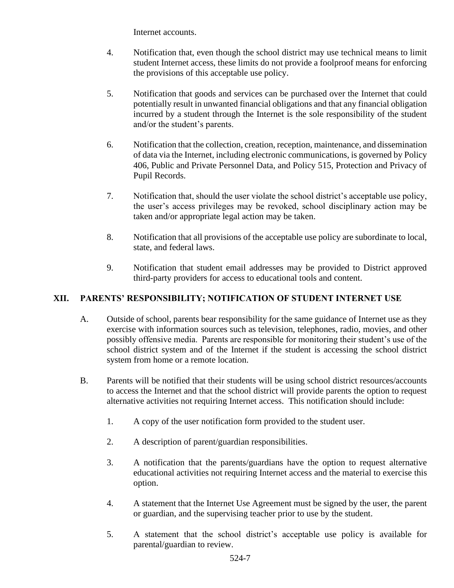Internet accounts.

- 4. Notification that, even though the school district may use technical means to limit student Internet access, these limits do not provide a foolproof means for enforcing the provisions of this acceptable use policy.
- 5. Notification that goods and services can be purchased over the Internet that could potentially result in unwanted financial obligations and that any financial obligation incurred by a student through the Internet is the sole responsibility of the student and/or the student's parents.
- 6. Notification that the collection, creation, reception, maintenance, and dissemination of data via the Internet, including electronic communications, is governed by Policy 406, Public and Private Personnel Data, and Policy 515, Protection and Privacy of Pupil Records.
- 7. Notification that, should the user violate the school district's acceptable use policy, the user's access privileges may be revoked, school disciplinary action may be taken and/or appropriate legal action may be taken.
- 8. Notification that all provisions of the acceptable use policy are subordinate to local, state, and federal laws.
- 9. Notification that student email addresses may be provided to District approved third-party providers for access to educational tools and content.

## **XII. PARENTS' RESPONSIBILITY; NOTIFICATION OF STUDENT INTERNET USE**

- A. Outside of school, parents bear responsibility for the same guidance of Internet use as they exercise with information sources such as television, telephones, radio, movies, and other possibly offensive media. Parents are responsible for monitoring their student's use of the school district system and of the Internet if the student is accessing the school district system from home or a remote location.
- B. Parents will be notified that their students will be using school district resources/accounts to access the Internet and that the school district will provide parents the option to request alternative activities not requiring Internet access. This notification should include:
	- 1. A copy of the user notification form provided to the student user.
	- 2. A description of parent/guardian responsibilities.
	- 3. A notification that the parents/guardians have the option to request alternative educational activities not requiring Internet access and the material to exercise this option.
	- 4. A statement that the Internet Use Agreement must be signed by the user, the parent or guardian, and the supervising teacher prior to use by the student.
	- 5. A statement that the school district's acceptable use policy is available for parental/guardian to review.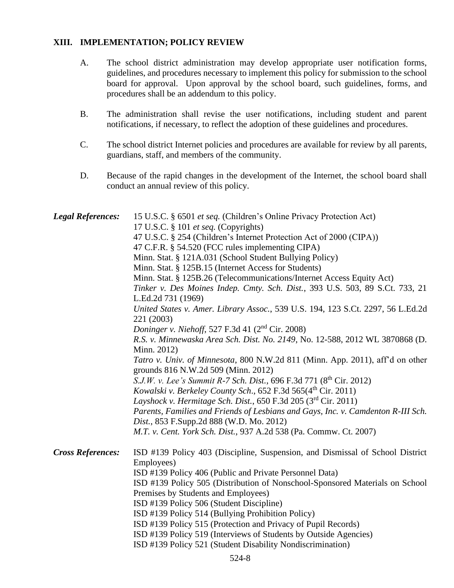### **XIII. IMPLEMENTATION; POLICY REVIEW**

- A. The school district administration may develop appropriate user notification forms, guidelines, and procedures necessary to implement this policy for submission to the school board for approval. Upon approval by the school board, such guidelines, forms, and procedures shall be an addendum to this policy.
- B. The administration shall revise the user notifications, including student and parent notifications, if necessary, to reflect the adoption of these guidelines and procedures.
- C. The school district Internet policies and procedures are available for review by all parents, guardians, staff, and members of the community.
- D. Because of the rapid changes in the development of the Internet, the school board shall conduct an annual review of this policy.

| <b>Legal References:</b> | 15 U.S.C. § 6501 et seq. (Children's Online Privacy Protection Act)<br>17 U.S.C. § 101 et seq. (Copyrights)<br>47 U.S.C. § 254 (Children's Internet Protection Act of 2000 (CIPA))<br>47 C.F.R. § 54.520 (FCC rules implementing CIPA)<br>Minn. Stat. § 121A.031 (School Student Bullying Policy)<br>Minn. Stat. § 125B.15 (Internet Access for Students)<br>Minn. Stat. § 125B.26 (Telecommunications/Internet Access Equity Act)<br>Tinker v. Des Moines Indep. Cmty. Sch. Dist., 393 U.S. 503, 89 S.Ct. 733, 21<br>L.Ed.2d 731 (1969)<br>United States v. Amer. Library Assoc., 539 U.S. 194, 123 S.Ct. 2297, 56 L.Ed.2d<br>221 (2003)<br>Doninger v. Niehoff, 527 F.3d 41 (2 <sup>nd</sup> Cir. 2008)<br>R.S. v. Minnewaska Area Sch. Dist. No. 2149, No. 12-588, 2012 WL 3870868 (D.<br>Minn. 2012)<br>Tatro v. Univ. of Minnesota, 800 N.W.2d 811 (Minn. App. 2011), aff'd on other<br>grounds 816 N.W.2d 509 (Minn. 2012)<br>S.J.W. v. Lee's Summit R-7 Sch. Dist., 696 F.3d 771 (8 <sup>th</sup> Cir. 2012)<br>Kowalski v. Berkeley County Sch., $652$ F.3d $565(4th$ Cir. 2011)<br>Layshock v. Hermitage Sch. Dist., 650 F.3d 205 ( $3rd$ Cir. 2011)<br>Parents, Families and Friends of Lesbians and Gays, Inc. v. Camdenton R-III Sch.<br>Dist., 853 F.Supp.2d 888 (W.D. Mo. 2012)<br>M.T. v. Cent. York Sch. Dist., 937 A.2d 538 (Pa. Commw. Ct. 2007) |
|--------------------------|--------------------------------------------------------------------------------------------------------------------------------------------------------------------------------------------------------------------------------------------------------------------------------------------------------------------------------------------------------------------------------------------------------------------------------------------------------------------------------------------------------------------------------------------------------------------------------------------------------------------------------------------------------------------------------------------------------------------------------------------------------------------------------------------------------------------------------------------------------------------------------------------------------------------------------------------------------------------------------------------------------------------------------------------------------------------------------------------------------------------------------------------------------------------------------------------------------------------------------------------------------------------------------------------------------------------------------------------------------------------|
| <b>Cross References:</b> | ISD #139 Policy 403 (Discipline, Suspension, and Dismissal of School District<br>Employees)<br>ISD #139 Policy 406 (Public and Private Personnel Data)<br>ISD #139 Policy 505 (Distribution of Nonschool-Sponsored Materials on School<br>Premises by Students and Employees)<br>ISD #139 Policy 506 (Student Discipline)<br>ISD #139 Policy 514 (Bullying Prohibition Policy)<br>ISD #139 Policy 515 (Protection and Privacy of Pupil Records)<br>ISD #139 Policy 519 (Interviews of Students by Outside Agencies)<br>ISD #139 Policy 521 (Student Disability Nondiscrimination)                                                                                                                                                                                                                                                                                                                                                                                                                                                                                                                                                                                                                                                                                                                                                                                  |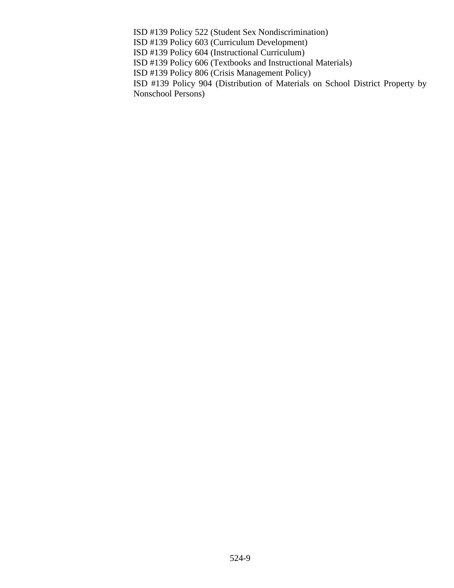ISD #139 Policy 522 (Student Sex Nondiscrimination)

ISD #139 Policy 603 (Curriculum Development)

ISD #139 Policy 604 (Instructional Curriculum)

ISD #139 Policy 606 (Textbooks and Instructional Materials)

ISD #139 Policy 806 (Crisis Management Policy)

ISD #139 Policy 904 (Distribution of Materials on School District Property by Nonschool Persons)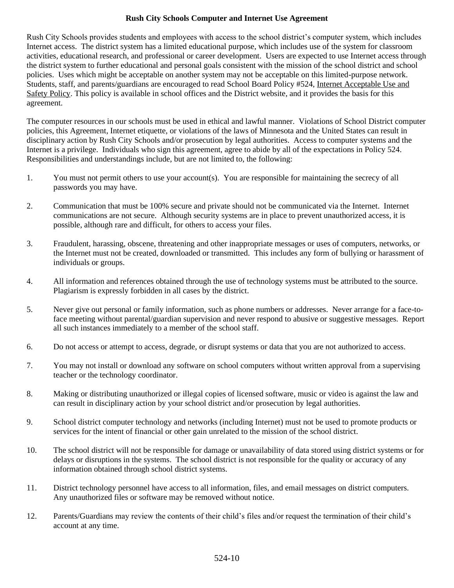### **Rush City Schools Computer and Internet Use Agreement**

Rush City Schools provides students and employees with access to the school district's computer system, which includes Internet access. The district system has a limited educational purpose, which includes use of the system for classroom activities, educational research, and professional or career development. Users are expected to use Internet access through the district system to further educational and personal goals consistent with the mission of the school district and school policies. Uses which might be acceptable on another system may not be acceptable on this limited-purpose network. Students, staff, and parents/guardians are encouraged to read School Board Policy #524, Internet Acceptable Use and Safety Policy. This policy is available in school offices and the District website, and it provides the basis for this agreement.

The computer resources in our schools must be used in ethical and lawful manner. Violations of School District computer policies, this Agreement, Internet etiquette, or violations of the laws of Minnesota and the United States can result in disciplinary action by Rush City Schools and/or prosecution by legal authorities. Access to computer systems and the Internet is a privilege. Individuals who sign this agreement, agree to abide by all of the expectations in Policy 524. Responsibilities and understandings include, but are not limited to, the following:

- 1. You must not permit others to use your account(s). You are responsible for maintaining the secrecy of all passwords you may have.
- 2. Communication that must be 100% secure and private should not be communicated via the Internet. Internet communications are not secure. Although security systems are in place to prevent unauthorized access, it is possible, although rare and difficult, for others to access your files.
- 3. Fraudulent, harassing, obscene, threatening and other inappropriate messages or uses of computers, networks, or the Internet must not be created, downloaded or transmitted. This includes any form of bullying or harassment of individuals or groups.
- 4. All information and references obtained through the use of technology systems must be attributed to the source. Plagiarism is expressly forbidden in all cases by the district.
- 5. Never give out personal or family information, such as phone numbers or addresses. Never arrange for a face-toface meeting without parental/guardian supervision and never respond to abusive or suggestive messages. Report all such instances immediately to a member of the school staff.
- 6. Do not access or attempt to access, degrade, or disrupt systems or data that you are not authorized to access.
- 7. You may not install or download any software on school computers without written approval from a supervising teacher or the technology coordinator.
- 8. Making or distributing unauthorized or illegal copies of licensed software, music or video is against the law and can result in disciplinary action by your school district and/or prosecution by legal authorities.
- 9. School district computer technology and networks (including Internet) must not be used to promote products or services for the intent of financial or other gain unrelated to the mission of the school district.
- 10. The school district will not be responsible for damage or unavailability of data stored using district systems or for delays or disruptions in the systems. The school district is not responsible for the quality or accuracy of any information obtained through school district systems.
- 11. District technology personnel have access to all information, files, and email messages on district computers. Any unauthorized files or software may be removed without notice.
- 12. Parents/Guardians may review the contents of their child's files and/or request the termination of their child's account at any time.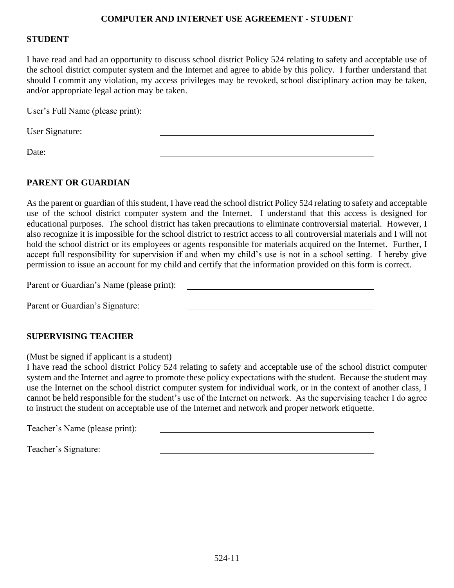### **COMPUTER AND INTERNET USE AGREEMENT - STUDENT**

### **STUDENT**

I have read and had an opportunity to discuss school district Policy 524 relating to safety and acceptable use of the school district computer system and the Internet and agree to abide by this policy. I further understand that should I commit any violation, my access privileges may be revoked, school disciplinary action may be taken, and/or appropriate legal action may be taken.

| User's Full Name (please print): |  |
|----------------------------------|--|
|                                  |  |
| User Signature:                  |  |
| Date:                            |  |

### **PARENT OR GUARDIAN**

As the parent or guardian of this student, I have read the school district Policy 524 relating to safety and acceptable use of the school district computer system and the Internet. I understand that this access is designed for educational purposes. The school district has taken precautions to eliminate controversial material. However, I also recognize it is impossible for the school district to restrict access to all controversial materials and I will not hold the school district or its employees or agents responsible for materials acquired on the Internet. Further, I accept full responsibility for supervision if and when my child's use is not in a school setting. I hereby give permission to issue an account for my child and certify that the information provided on this form is correct.

Parent or Guardian's Name (please print):

Parent or Guardian's Signature:

### **SUPERVISING TEACHER**

(Must be signed if applicant is a student)

I have read the school district Policy 524 relating to safety and acceptable use of the school district computer system and the Internet and agree to promote these policy expectations with the student. Because the student may use the Internet on the school district computer system for individual work, or in the context of another class, I cannot be held responsible for the student's use of the Internet on network. As the supervising teacher I do agree to instruct the student on acceptable use of the Internet and network and proper network etiquette.

Teacher's Name (please print):

Teacher's Signature: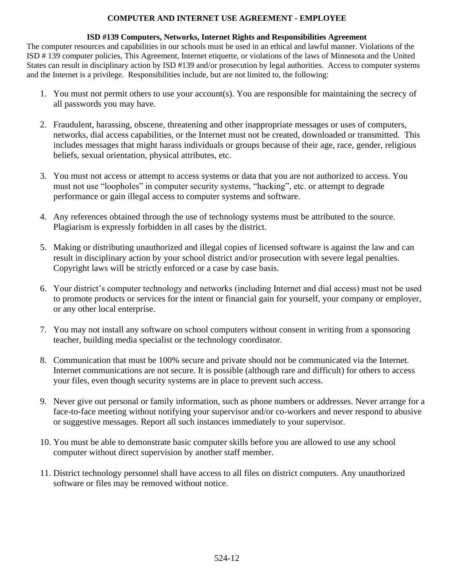### **COMPUTER AND INTERNET USE AGREEMENT - EMPLOYEE**

#### **ISD #139 Computers, Networks, Internet Rights and Responsibilities Agreement**

The computer resources and capabilities in our schools must be used in an ethical and lawful manner. Violations of the ISD # 139 computer policies, This Agreement, Internet etiquette, or violations of the laws of Minnesota and the United States can result in disciplinary action by ISD #139 and/or prosecution by legal authorities. Access to computer systems and the Internet is a privilege. Responsibilities include, but are not limited to, the following:

- 1. You must not permit others to use your account(s). You are responsible for maintaining the secrecy of all passwords you may have.
- 2. Fraudulent, harassing, obscene, threatening and other inappropriate messages or uses of computers, networks, dial access capabilities, or the Internet must not be created, downloaded or transmitted. This includes messages that might harass individuals or groups because of their age, race, gender, religious beliefs, sexual orientation, physical attributes, etc.
- 3. You must not access or attempt to access systems or data that you are not authorized to access. You must not use "loopholes" in computer security systems, "hacking", etc. or attempt to degrade performance or gain illegal access to computer systems and software.
- 4. Any references obtained through the use of technology systems must be attributed to the source. Plagiarism is expressly forbidden in all cases by the district.
- 5. Making or distributing unauthorized and illegal copies of licensed software is against the law and can result in disciplinary action by your school district and/or prosecution with severe legal penalties. Copyright laws will be strictly enforced or a case by case basis.
- 6. Your district's computer technology and networks (including Internet and dial access) must not be used to promote products or services for the intent or financial gain for yourself, your company or employer, or any other local enterprise.
- 7. You may not install any software on school computers without consent in writing from a sponsoring teacher, building media specialist or the technology coordinator.
- 8. Communication that must be 100% secure and private should not be communicated via the Internet. Internet communications are not secure. It is possible (although rare and difficult) for others to access your files, even though security systems are in place to prevent such access.
- 9. Never give out personal or family information, such as phone numbers or addresses. Never arrange for a face-to-face meeting without notifying your supervisor and/or co-workers and never respond to abusive or suggestive messages. Report all such instances immediately to your supervisor.
- 10. You must be able to demonstrate basic computer skills before you are allowed to use any school computer without direct supervision by another staff member.
- 11. District technology personnel shall have access to all files on district computers. Any unauthorized software or files may be removed without notice.